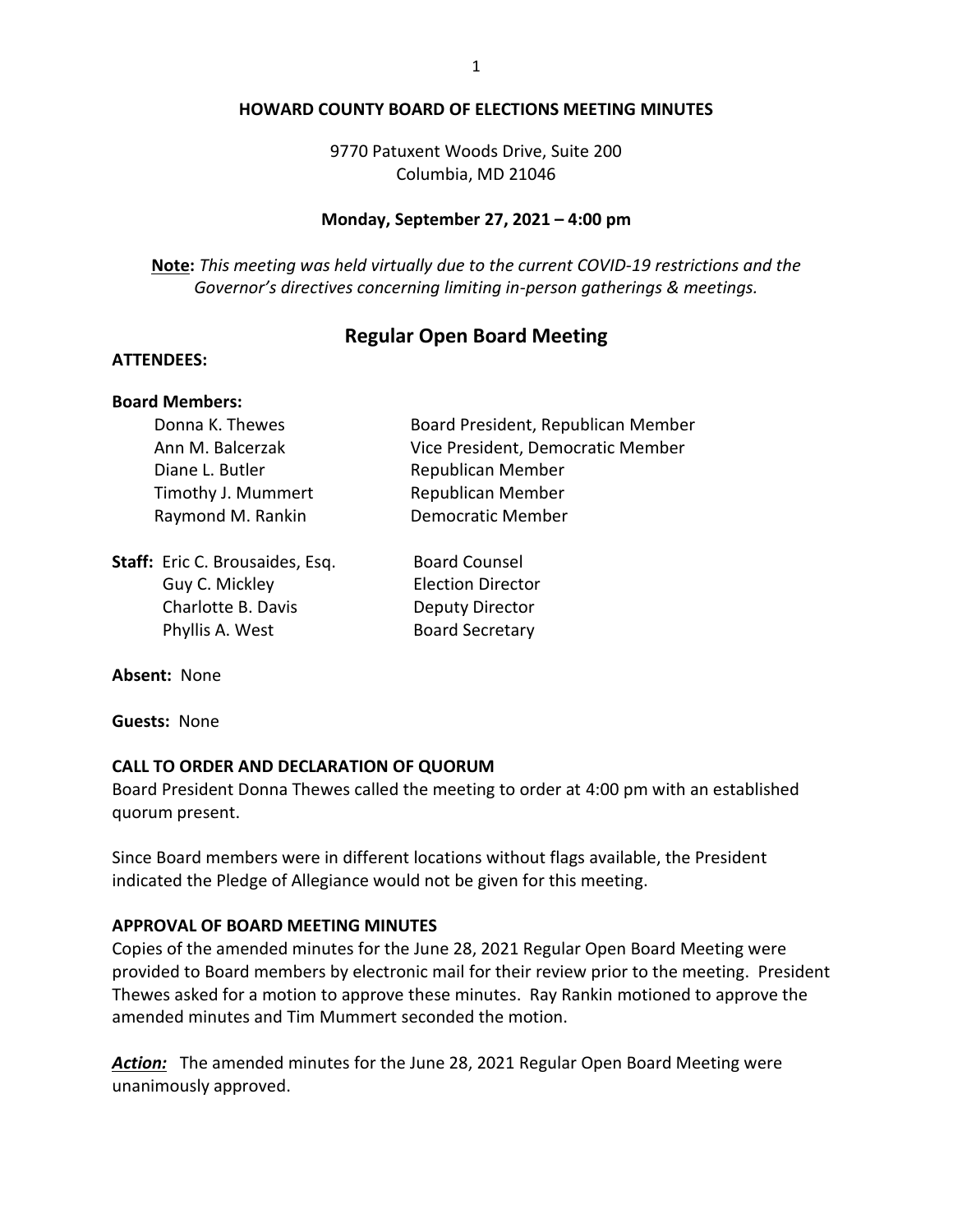#### **HOWARD COUNTY BOARD OF ELECTIONS MEETING MINUTES**

9770 Patuxent Woods Drive, Suite 200 Columbia, MD 21046

#### **Monday, September 27, 2021 – 4:00 pm**

**Note:** *This meeting was held virtually due to the current COVID-19 restrictions and the Governor's directives concerning limiting in-person gatherings & meetings.*

# **Regular Open Board Meeting**

### **ATTENDEES:**

#### **Board Members:**

Donna K. Thewes **Board President, Republican Member** Ann M. Balcerzak Vice President, Democratic Member Diane L. Butler Republican Member Timothy J. Mummert Republican Member Raymond M. Rankin Democratic Member

**Staff:** Eric C. Brousaides, Esq. Board Counsel Guy C. Mickley Election Director Charlotte B. Davis **Deputy Director** Phyllis A. West Board Secretary

**Absent:** None

**Guests:** None

#### **CALL TO ORDER AND DECLARATION OF QUORUM**

Board President Donna Thewes called the meeting to order at 4:00 pm with an established quorum present.

Since Board members were in different locations without flags available, the President indicated the Pledge of Allegiance would not be given for this meeting.

#### **APPROVAL OF BOARD MEETING MINUTES**

Copies of the amended minutes for the June 28, 2021 Regular Open Board Meeting were provided to Board members by electronic mail for their review prior to the meeting. President Thewes asked for a motion to approve these minutes. Ray Rankin motioned to approve the amended minutes and Tim Mummert seconded the motion.

*Action:* The amended minutes for the June 28, 2021 Regular Open Board Meeting were unanimously approved.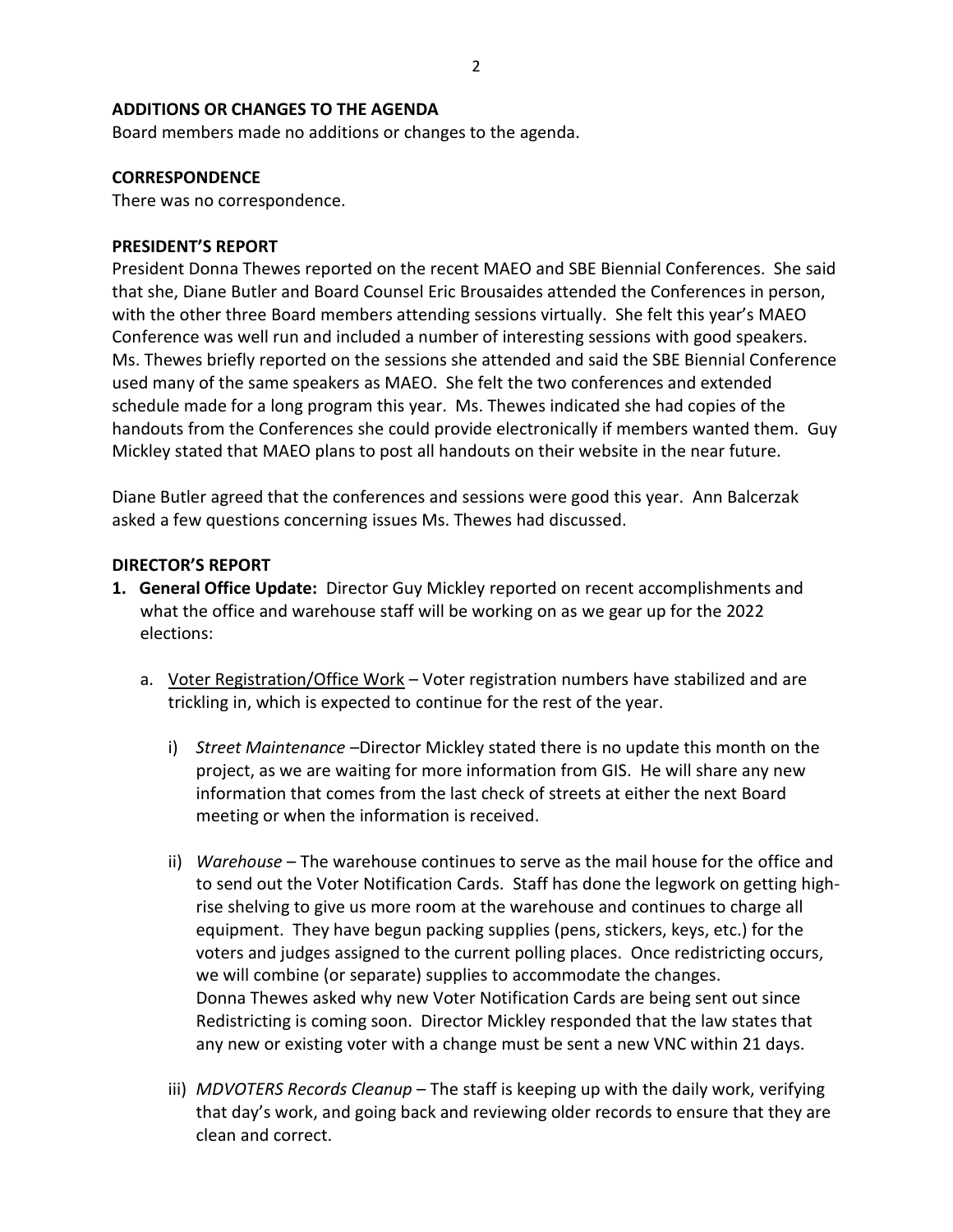## **ADDITIONS OR CHANGES TO THE AGENDA**

Board members made no additions or changes to the agenda.

## **CORRESPONDENCE**

There was no correspondence.

### **PRESIDENT'S REPORT**

President Donna Thewes reported on the recent MAEO and SBE Biennial Conferences. She said that she, Diane Butler and Board Counsel Eric Brousaides attended the Conferences in person, with the other three Board members attending sessions virtually. She felt this year's MAEO Conference was well run and included a number of interesting sessions with good speakers. Ms. Thewes briefly reported on the sessions she attended and said the SBE Biennial Conference used many of the same speakers as MAEO. She felt the two conferences and extended schedule made for a long program this year. Ms. Thewes indicated she had copies of the handouts from the Conferences she could provide electronically if members wanted them. Guy Mickley stated that MAEO plans to post all handouts on their website in the near future.

Diane Butler agreed that the conferences and sessions were good this year. Ann Balcerzak asked a few questions concerning issues Ms. Thewes had discussed.

## **DIRECTOR'S REPORT**

- **1. General Office Update:** Director Guy Mickley reported on recent accomplishments and what the office and warehouse staff will be working on as we gear up for the 2022 elections:
	- a. Voter Registration/Office Work Voter registration numbers have stabilized and are trickling in, which is expected to continue for the rest of the year.
		- i) *Street Maintenance* –Director Mickley stated there is no update this month on the project, as we are waiting for more information from GIS. He will share any new information that comes from the last check of streets at either the next Board meeting or when the information is received.
		- ii) *Warehouse* The warehouse continues to serve as the mail house for the office and to send out the Voter Notification Cards. Staff has done the legwork on getting highrise shelving to give us more room at the warehouse and continues to charge all equipment. They have begun packing supplies (pens, stickers, keys, etc.) for the voters and judges assigned to the current polling places. Once redistricting occurs, we will combine (or separate) supplies to accommodate the changes. Donna Thewes asked why new Voter Notification Cards are being sent out since Redistricting is coming soon. Director Mickley responded that the law states that any new or existing voter with a change must be sent a new VNC within 21 days.
		- iii) *MDVOTERS Records Cleanup* The staff is keeping up with the daily work, verifying that day's work, and going back and reviewing older records to ensure that they are clean and correct.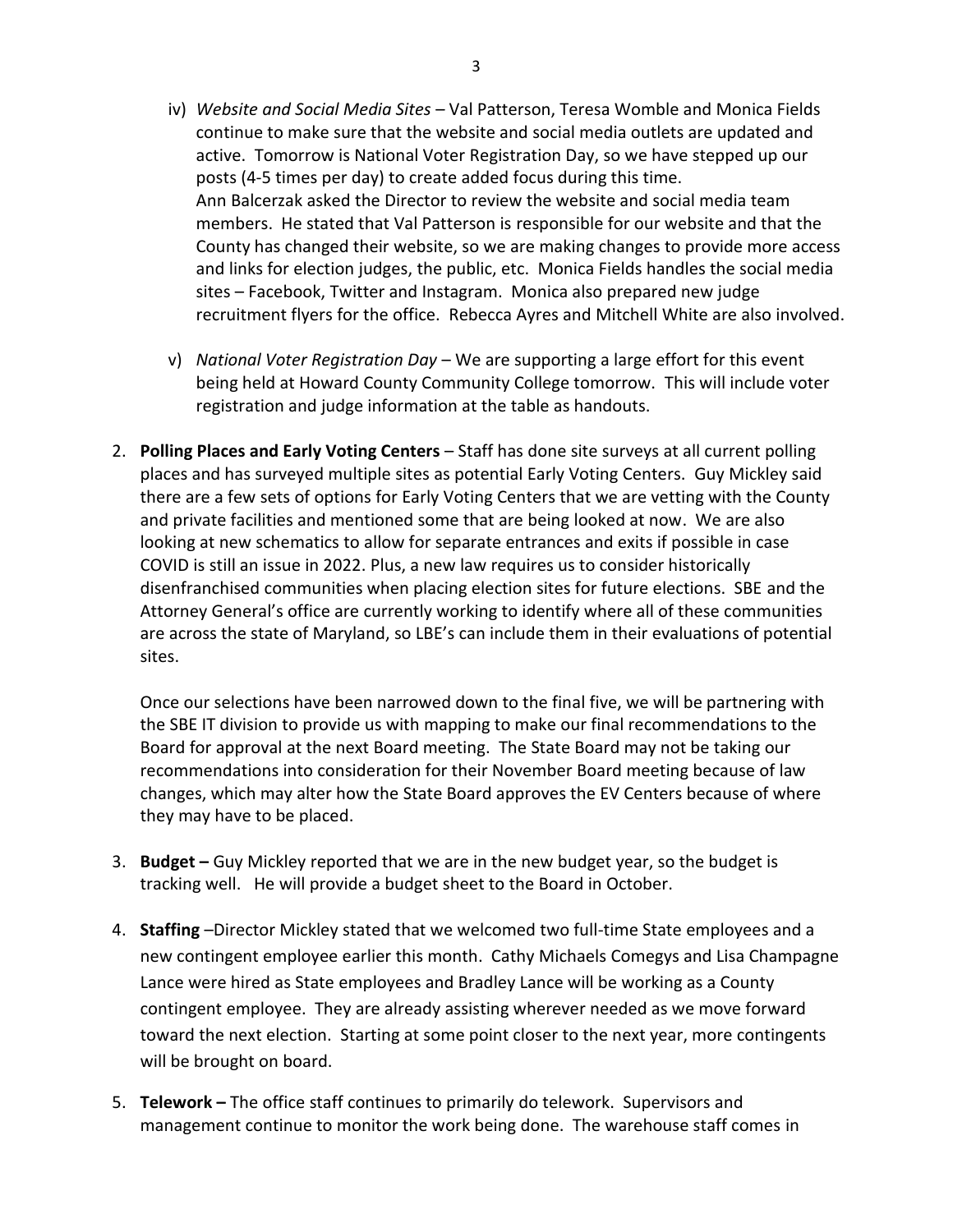- iv) *Website and Social Media Sites* Val Patterson, Teresa Womble and Monica Fields continue to make sure that the website and social media outlets are updated and active. Tomorrow is National Voter Registration Day, so we have stepped up our posts (4-5 times per day) to create added focus during this time. Ann Balcerzak asked the Director to review the website and social media team members. He stated that Val Patterson is responsible for our website and that the County has changed their website, so we are making changes to provide more access and links for election judges, the public, etc. Monica Fields handles the social media sites – Facebook, Twitter and Instagram. Monica also prepared new judge recruitment flyers for the office. Rebecca Ayres and Mitchell White are also involved.
- v) *National Voter Registration Day* We are supporting a large effort for this event being held at Howard County Community College tomorrow. This will include voter registration and judge information at the table as handouts.
- 2. **Polling Places and Early Voting Centers** Staff has done site surveys at all current polling places and has surveyed multiple sites as potential Early Voting Centers. Guy Mickley said there are a few sets of options for Early Voting Centers that we are vetting with the County and private facilities and mentioned some that are being looked at now. We are also looking at new schematics to allow for separate entrances and exits if possible in case COVID is still an issue in 2022. Plus, a new law requires us to consider historically disenfranchised communities when placing election sites for future elections. SBE and the Attorney General's office are currently working to identify where all of these communities are across the state of Maryland, so LBE's can include them in their evaluations of potential sites.

Once our selections have been narrowed down to the final five, we will be partnering with the SBE IT division to provide us with mapping to make our final recommendations to the Board for approval at the next Board meeting. The State Board may not be taking our recommendations into consideration for their November Board meeting because of law changes, which may alter how the State Board approves the EV Centers because of where they may have to be placed.

- 3. **Budget –** Guy Mickley reported that we are in the new budget year, so the budget is tracking well. He will provide a budget sheet to the Board in October.
- 4. **Staffing** –Director Mickley stated that we welcomed two full-time State employees and a new contingent employee earlier this month. Cathy Michaels Comegys and Lisa Champagne Lance were hired as State employees and Bradley Lance will be working as a County contingent employee. They are already assisting wherever needed as we move forward toward the next election. Starting at some point closer to the next year, more contingents will be brought on board.
- 5. **Telework –** The office staff continues to primarily do telework. Supervisors and management continue to monitor the work being done. The warehouse staff comes in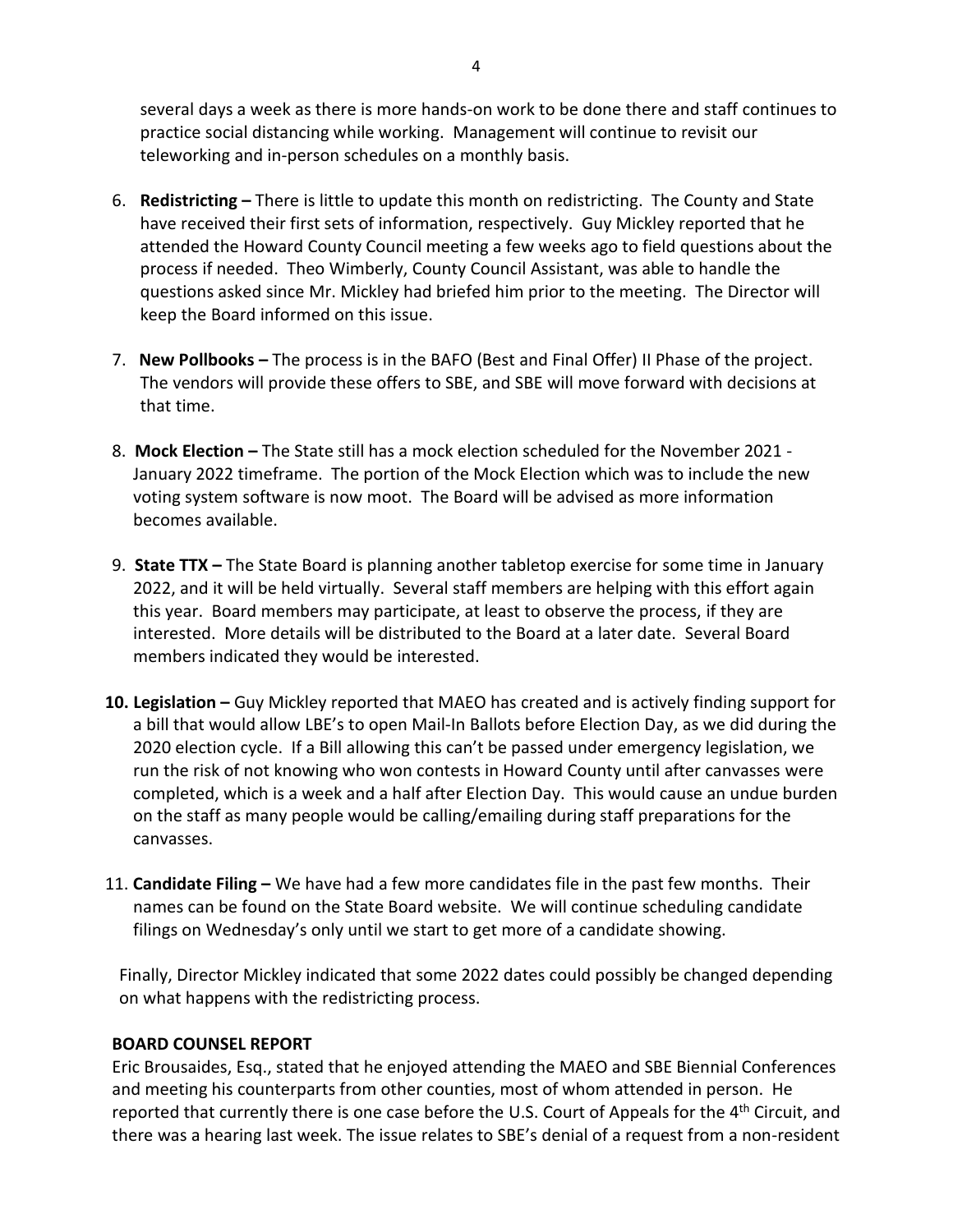several days a week as there is more hands-on work to be done there and staff continues to practice social distancing while working. Management will continue to revisit our teleworking and in-person schedules on a monthly basis.

- 6. **Redistricting –** There is little to update this month on redistricting. The County and State have received their first sets of information, respectively. Guy Mickley reported that he attended the Howard County Council meeting a few weeks ago to field questions about the process if needed. Theo Wimberly, County Council Assistant, was able to handle the questions asked since Mr. Mickley had briefed him prior to the meeting. The Director will keep the Board informed on this issue.
- 7. **New Pollbooks –** The process is in the BAFO (Best and Final Offer) II Phase of the project. The vendors will provide these offers to SBE, and SBE will move forward with decisions at that time.
- 8. **Mock Election –** The State still has a mock election scheduled for the November 2021 January 2022 timeframe. The portion of the Mock Election which was to include the new voting system software is now moot. The Board will be advised as more information becomes available.
- 9. **State TTX –** The State Board is planning another tabletop exercise for some time in January 2022, and it will be held virtually. Several staff members are helping with this effort again this year. Board members may participate, at least to observe the process, if they are interested. More details will be distributed to the Board at a later date. Several Board members indicated they would be interested.
- **10. Legislation –** Guy Mickley reported that MAEO has created and is actively finding support for a bill that would allow LBE's to open Mail-In Ballots before Election Day, as we did during the 2020 election cycle. If a Bill allowing this can't be passed under emergency legislation, we run the risk of not knowing who won contests in Howard County until after canvasses were completed, which is a week and a half after Election Day. This would cause an undue burden on the staff as many people would be calling/emailing during staff preparations for the canvasses.
- 11. **Candidate Filing –** We have had a few more candidates file in the past few months. Their names can be found on the State Board website. We will continue scheduling candidate filings on Wednesday's only until we start to get more of a candidate showing.

Finally, Director Mickley indicated that some 2022 dates could possibly be changed depending on what happens with the redistricting process.

## **BOARD COUNSEL REPORT**

Eric Brousaides, Esq., stated that he enjoyed attending the MAEO and SBE Biennial Conferences and meeting his counterparts from other counties, most of whom attended in person. He reported that currently there is one case before the U.S. Court of Appeals for the 4<sup>th</sup> Circuit, and there was a hearing last week. The issue relates to SBE's denial of a request from a non-resident